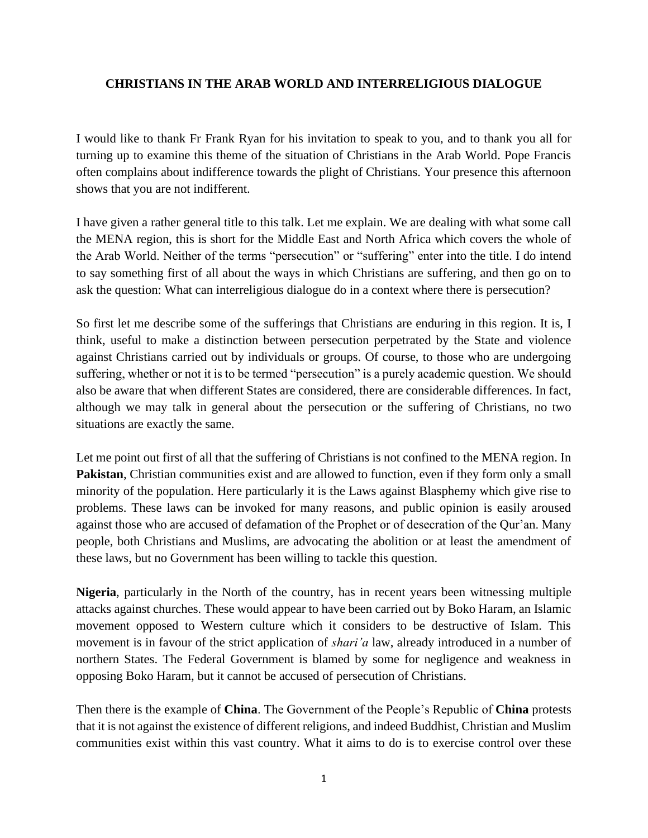## **CHRISTIANS IN THE ARAB WORLD AND INTERRELIGIOUS DIALOGUE**

I would like to thank Fr Frank Ryan for his invitation to speak to you, and to thank you all for turning up to examine this theme of the situation of Christians in the Arab World. Pope Francis often complains about indifference towards the plight of Christians. Your presence this afternoon shows that you are not indifferent.

I have given a rather general title to this talk. Let me explain. We are dealing with what some call the MENA region, this is short for the Middle East and North Africa which covers the whole of the Arab World. Neither of the terms "persecution" or "suffering" enter into the title. I do intend to say something first of all about the ways in which Christians are suffering, and then go on to ask the question: What can interreligious dialogue do in a context where there is persecution?

So first let me describe some of the sufferings that Christians are enduring in this region. It is, I think, useful to make a distinction between persecution perpetrated by the State and violence against Christians carried out by individuals or groups. Of course, to those who are undergoing suffering, whether or not it is to be termed "persecution" is a purely academic question. We should also be aware that when different States are considered, there are considerable differences. In fact, although we may talk in general about the persecution or the suffering of Christians, no two situations are exactly the same.

Let me point out first of all that the suffering of Christians is not confined to the MENA region. In **Pakistan**, Christian communities exist and are allowed to function, even if they form only a small minority of the population. Here particularly it is the Laws against Blasphemy which give rise to problems. These laws can be invoked for many reasons, and public opinion is easily aroused against those who are accused of defamation of the Prophet or of desecration of the Qur'an. Many people, both Christians and Muslims, are advocating the abolition or at least the amendment of these laws, but no Government has been willing to tackle this question.

**Nigeria**, particularly in the North of the country, has in recent years been witnessing multiple attacks against churches. These would appear to have been carried out by Boko Haram, an Islamic movement opposed to Western culture which it considers to be destructive of Islam. This movement is in favour of the strict application of *shari'a* law, already introduced in a number of northern States. The Federal Government is blamed by some for negligence and weakness in opposing Boko Haram, but it cannot be accused of persecution of Christians.

Then there is the example of **China**. The Government of the People's Republic of **China** protests that it is not against the existence of different religions, and indeed Buddhist, Christian and Muslim communities exist within this vast country. What it aims to do is to exercise control over these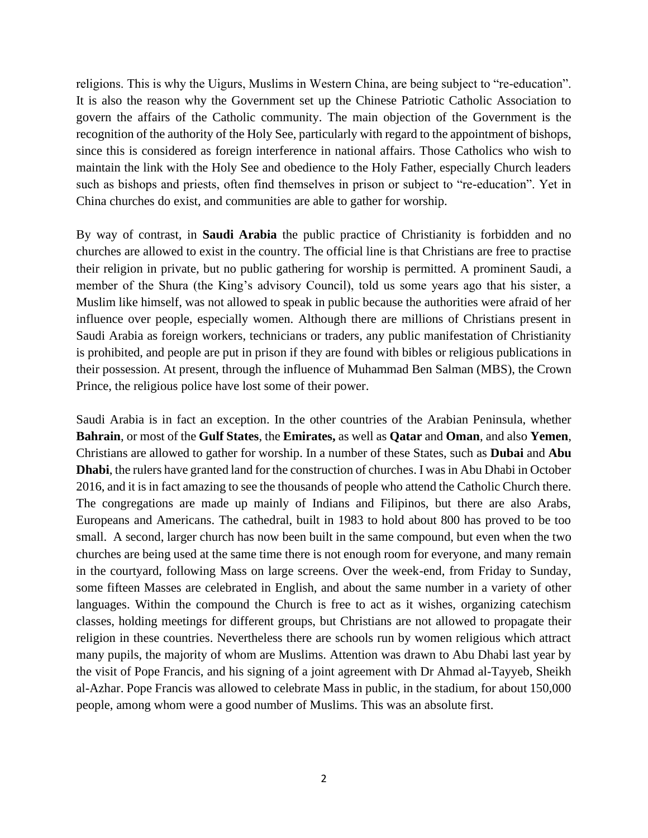religions. This is why the Uigurs, Muslims in Western China, are being subject to "re-education". It is also the reason why the Government set up the Chinese Patriotic Catholic Association to govern the affairs of the Catholic community. The main objection of the Government is the recognition of the authority of the Holy See, particularly with regard to the appointment of bishops, since this is considered as foreign interference in national affairs. Those Catholics who wish to maintain the link with the Holy See and obedience to the Holy Father, especially Church leaders such as bishops and priests, often find themselves in prison or subject to "re-education". Yet in China churches do exist, and communities are able to gather for worship.

By way of contrast, in **Saudi Arabia** the public practice of Christianity is forbidden and no churches are allowed to exist in the country. The official line is that Christians are free to practise their religion in private, but no public gathering for worship is permitted. A prominent Saudi, a member of the Shura (the King's advisory Council), told us some years ago that his sister, a Muslim like himself, was not allowed to speak in public because the authorities were afraid of her influence over people, especially women. Although there are millions of Christians present in Saudi Arabia as foreign workers, technicians or traders, any public manifestation of Christianity is prohibited, and people are put in prison if they are found with bibles or religious publications in their possession. At present, through the influence of Muhammad Ben Salman (MBS), the Crown Prince, the religious police have lost some of their power.

Saudi Arabia is in fact an exception. In the other countries of the Arabian Peninsula, whether **Bahrain**, or most of the **Gulf States**, the **Emirates,** as well as **Qatar** and **Oman**, and also **Yemen**, Christians are allowed to gather for worship. In a number of these States, such as **Dubai** and **Abu Dhabi**, the rulers have granted land for the construction of churches. I was in Abu Dhabi in October 2016, and it is in fact amazing to see the thousands of people who attend the Catholic Church there. The congregations are made up mainly of Indians and Filipinos, but there are also Arabs, Europeans and Americans. The cathedral, built in 1983 to hold about 800 has proved to be too small. A second, larger church has now been built in the same compound, but even when the two churches are being used at the same time there is not enough room for everyone, and many remain in the courtyard, following Mass on large screens. Over the week-end, from Friday to Sunday, some fifteen Masses are celebrated in English, and about the same number in a variety of other languages. Within the compound the Church is free to act as it wishes, organizing catechism classes, holding meetings for different groups, but Christians are not allowed to propagate their religion in these countries. Nevertheless there are schools run by women religious which attract many pupils, the majority of whom are Muslims. Attention was drawn to Abu Dhabi last year by the visit of Pope Francis, and his signing of a joint agreement with Dr Ahmad al-Tayyeb, Sheikh al-Azhar. Pope Francis was allowed to celebrate Mass in public, in the stadium, for about 150,000 people, among whom were a good number of Muslims. This was an absolute first.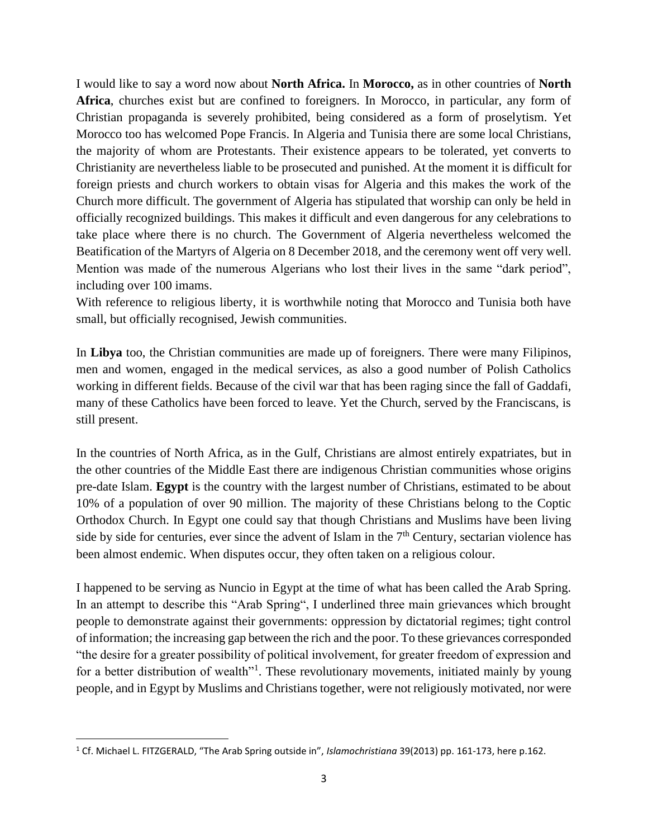I would like to say a word now about **North Africa.** In **Morocco,** as in other countries of **North Africa**, churches exist but are confined to foreigners. In Morocco, in particular, any form of Christian propaganda is severely prohibited, being considered as a form of proselytism. Yet Morocco too has welcomed Pope Francis. In Algeria and Tunisia there are some local Christians, the majority of whom are Protestants. Their existence appears to be tolerated, yet converts to Christianity are nevertheless liable to be prosecuted and punished. At the moment it is difficult for foreign priests and church workers to obtain visas for Algeria and this makes the work of the Church more difficult. The government of Algeria has stipulated that worship can only be held in officially recognized buildings. This makes it difficult and even dangerous for any celebrations to take place where there is no church. The Government of Algeria nevertheless welcomed the Beatification of the Martyrs of Algeria on 8 December 2018, and the ceremony went off very well. Mention was made of the numerous Algerians who lost their lives in the same "dark period", including over 100 imams.

With reference to religious liberty, it is worthwhile noting that Morocco and Tunisia both have small, but officially recognised, Jewish communities.

In **Libya** too, the Christian communities are made up of foreigners. There were many Filipinos, men and women, engaged in the medical services, as also a good number of Polish Catholics working in different fields. Because of the civil war that has been raging since the fall of Gaddafi, many of these Catholics have been forced to leave. Yet the Church, served by the Franciscans, is still present.

In the countries of North Africa, as in the Gulf, Christians are almost entirely expatriates, but in the other countries of the Middle East there are indigenous Christian communities whose origins pre-date Islam. **Egypt** is the country with the largest number of Christians, estimated to be about 10% of a population of over 90 million. The majority of these Christians belong to the Coptic Orthodox Church. In Egypt one could say that though Christians and Muslims have been living side by side for centuries, ever since the advent of Islam in the  $7<sup>th</sup>$  Century, sectarian violence has been almost endemic. When disputes occur, they often taken on a religious colour.

I happened to be serving as Nuncio in Egypt at the time of what has been called the Arab Spring. In an attempt to describe this "Arab Spring", I underlined three main grievances which brought people to demonstrate against their governments: oppression by dictatorial regimes; tight control of information; the increasing gap between the rich and the poor. To these grievances corresponded "the desire for a greater possibility of political involvement, for greater freedom of expression and for a better distribution of wealth<sup>11</sup>. These revolutionary movements, initiated mainly by young people, and in Egypt by Muslims and Christians together, were not religiously motivated, nor were

<sup>1</sup> Cf. Michael L. FITZGERALD, "The Arab Spring outside in", *Islamochristiana* 39(2013) pp. 161-173, here p.162.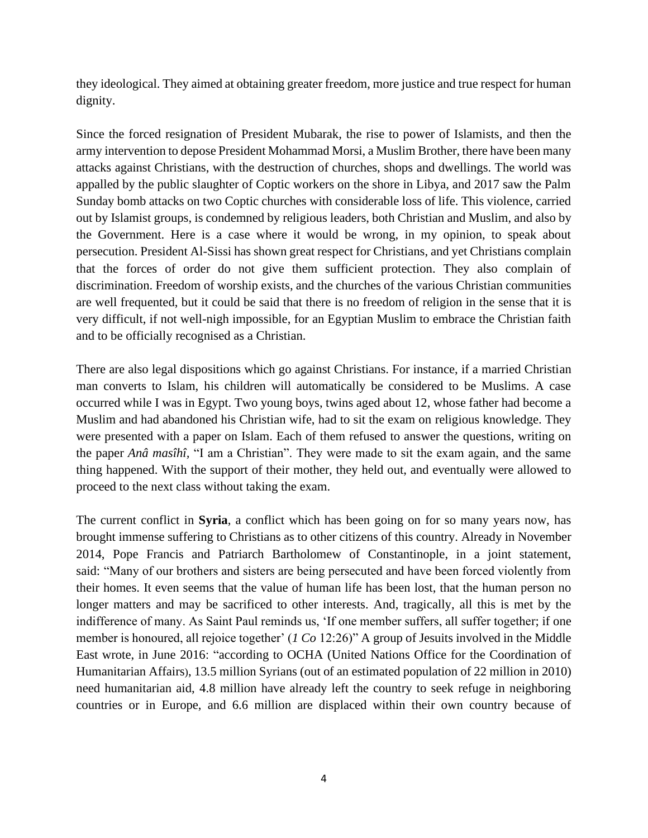they ideological. They aimed at obtaining greater freedom, more justice and true respect for human dignity.

Since the forced resignation of President Mubarak, the rise to power of Islamists, and then the army intervention to depose President Mohammad Morsi, a Muslim Brother, there have been many attacks against Christians, with the destruction of churches, shops and dwellings. The world was appalled by the public slaughter of Coptic workers on the shore in Libya, and 2017 saw the Palm Sunday bomb attacks on two Coptic churches with considerable loss of life. This violence, carried out by Islamist groups, is condemned by religious leaders, both Christian and Muslim, and also by the Government. Here is a case where it would be wrong, in my opinion, to speak about persecution. President Al-Sissi has shown great respect for Christians, and yet Christians complain that the forces of order do not give them sufficient protection. They also complain of discrimination. Freedom of worship exists, and the churches of the various Christian communities are well frequented, but it could be said that there is no freedom of religion in the sense that it is very difficult, if not well-nigh impossible, for an Egyptian Muslim to embrace the Christian faith and to be officially recognised as a Christian.

There are also legal dispositions which go against Christians. For instance, if a married Christian man converts to Islam, his children will automatically be considered to be Muslims. A case occurred while I was in Egypt. Two young boys, twins aged about 12, whose father had become a Muslim and had abandoned his Christian wife, had to sit the exam on religious knowledge. They were presented with a paper on Islam. Each of them refused to answer the questions, writing on the paper *Anâ masîhî,* "I am a Christian". They were made to sit the exam again, and the same thing happened. With the support of their mother, they held out, and eventually were allowed to proceed to the next class without taking the exam.

The current conflict in **Syria**, a conflict which has been going on for so many years now, has brought immense suffering to Christians as to other citizens of this country. Already in November 2014, Pope Francis and Patriarch Bartholomew of Constantinople, in a joint statement, said: "Many of our brothers and sisters are being persecuted and have been forced violently from their homes. It even seems that the value of human life has been lost, that the human person no longer matters and may be sacrificed to other interests. And, tragically, all this is met by the indifference of many. As Saint Paul reminds us, 'If one member suffers, all suffer together; if one member is honoured, all rejoice together' (*1 Co* 12:26)" A group of Jesuits involved in the Middle East wrote, in June 2016: "according to OCHA (United Nations Office for the Coordination of Humanitarian Affairs), 13.5 million Syrians (out of an estimated population of 22 million in 2010) need humanitarian aid, 4.8 million have already left the country to seek refuge in neighboring countries or in Europe, and 6.6 million are displaced within their own country because of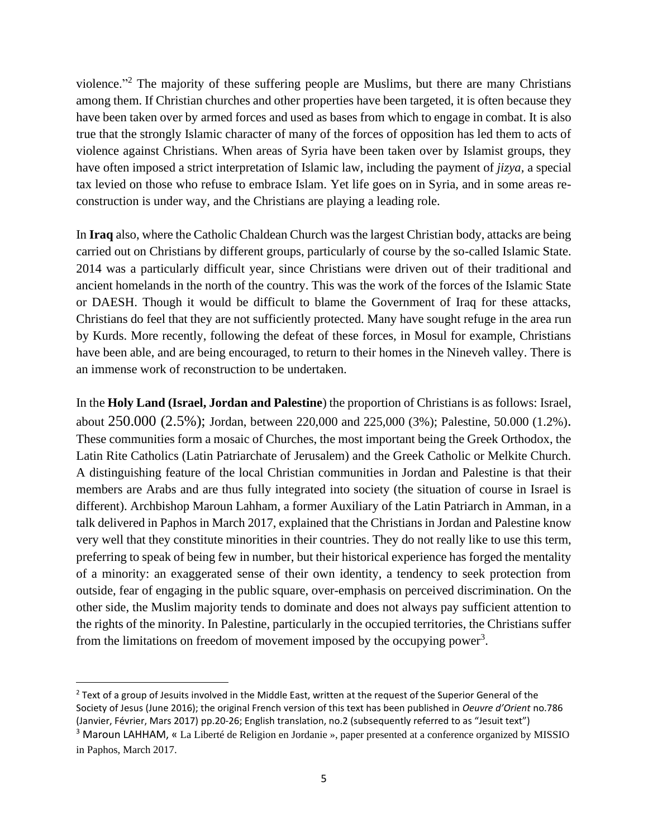violence."<sup>2</sup> The majority of these suffering people are Muslims, but there are many Christians among them. If Christian churches and other properties have been targeted, it is often because they have been taken over by armed forces and used as bases from which to engage in combat. It is also true that the strongly Islamic character of many of the forces of opposition has led them to acts of violence against Christians. When areas of Syria have been taken over by Islamist groups, they have often imposed a strict interpretation of Islamic law, including the payment of *jizya,* a special tax levied on those who refuse to embrace Islam. Yet life goes on in Syria, and in some areas reconstruction is under way, and the Christians are playing a leading role.

In **Iraq** also, where the Catholic Chaldean Church was the largest Christian body, attacks are being carried out on Christians by different groups, particularly of course by the so-called Islamic State. 2014 was a particularly difficult year, since Christians were driven out of their traditional and ancient homelands in the north of the country. This was the work of the forces of the Islamic State or DAESH. Though it would be difficult to blame the Government of Iraq for these attacks, Christians do feel that they are not sufficiently protected. Many have sought refuge in the area run by Kurds. More recently, following the defeat of these forces, in Mosul for example, Christians have been able, and are being encouraged, to return to their homes in the Nineveh valley. There is an immense work of reconstruction to be undertaken.

In the **Holy Land (Israel, Jordan and Palestine**) the proportion of Christians is as follows: Israel, about 250.000 (2.5%); Jordan, between 220,000 and 225,000 (3%); Palestine, 50.000 (1.2%). These communities form a mosaic of Churches, the most important being the Greek Orthodox, the Latin Rite Catholics (Latin Patriarchate of Jerusalem) and the Greek Catholic or Melkite Church. A distinguishing feature of the local Christian communities in Jordan and Palestine is that their members are Arabs and are thus fully integrated into society (the situation of course in Israel is different). Archbishop Maroun Lahham, a former Auxiliary of the Latin Patriarch in Amman, in a talk delivered in Paphos in March 2017, explained that the Christians in Jordan and Palestine know very well that they constitute minorities in their countries. They do not really like to use this term, preferring to speak of being few in number, but their historical experience has forged the mentality of a minority: an exaggerated sense of their own identity, a tendency to seek protection from outside, fear of engaging in the public square, over-emphasis on perceived discrimination. On the other side, the Muslim majority tends to dominate and does not always pay sufficient attention to the rights of the minority. In Palestine, particularly in the occupied territories, the Christians suffer from the limitations on freedom of movement imposed by the occupying power<sup>3</sup>.

<sup>&</sup>lt;sup>2</sup> Text of a group of Jesuits involved in the Middle East, written at the request of the Superior General of the Society of Jesus (June 2016); the original French version of this text has been published in *Oeuvre d'Orient* no.786 (Janvier, Février, Mars 2017) pp.20-26; English translation, no.2 (subsequently referred to as "Jesuit text")

<sup>3</sup> Maroun LAHHAM, « La Liberté de Religion en Jordanie », paper presented at a conference organized by MISSIO in Paphos, March 2017.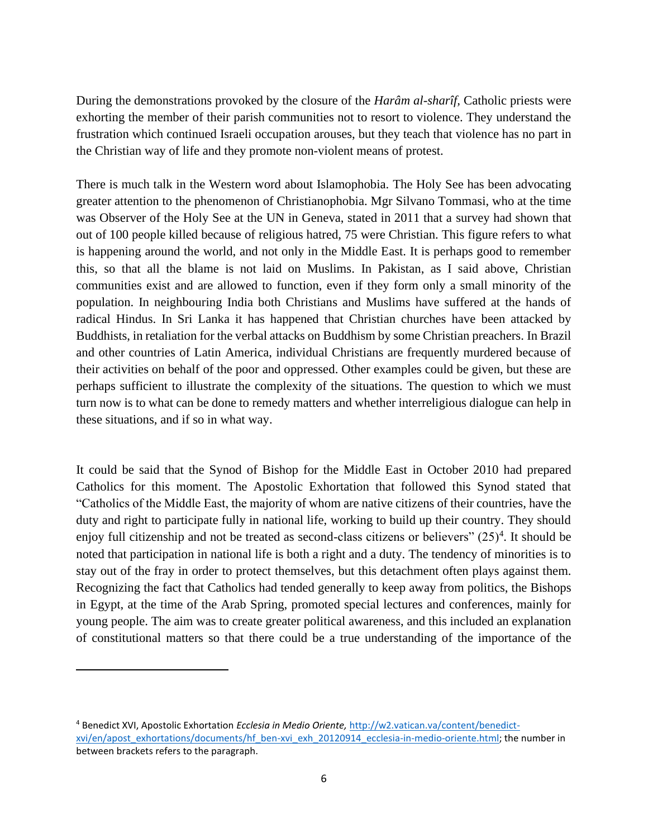During the demonstrations provoked by the closure of the *Harâm al-sharîf,* Catholic priests were exhorting the member of their parish communities not to resort to violence. They understand the frustration which continued Israeli occupation arouses, but they teach that violence has no part in the Christian way of life and they promote non-violent means of protest.

There is much talk in the Western word about Islamophobia. The Holy See has been advocating greater attention to the phenomenon of Christianophobia. Mgr Silvano Tommasi, who at the time was Observer of the Holy See at the UN in Geneva, stated in 2011 that a survey had shown that out of 100 people killed because of religious hatred, 75 were Christian. This figure refers to what is happening around the world, and not only in the Middle East. It is perhaps good to remember this, so that all the blame is not laid on Muslims. In Pakistan, as I said above, Christian communities exist and are allowed to function, even if they form only a small minority of the population. In neighbouring India both Christians and Muslims have suffered at the hands of radical Hindus. In Sri Lanka it has happened that Christian churches have been attacked by Buddhists, in retaliation for the verbal attacks on Buddhism by some Christian preachers. In Brazil and other countries of Latin America, individual Christians are frequently murdered because of their activities on behalf of the poor and oppressed. Other examples could be given, but these are perhaps sufficient to illustrate the complexity of the situations. The question to which we must turn now is to what can be done to remedy matters and whether interreligious dialogue can help in these situations, and if so in what way.

It could be said that the Synod of Bishop for the Middle East in October 2010 had prepared Catholics for this moment. The Apostolic Exhortation that followed this Synod stated that "Catholics of the Middle East, the majority of whom are native citizens of their countries, have the duty and right to participate fully in national life, working to build up their country. They should enjoy full citizenship and not be treated as second-class citizens or believers"  $(25)^4$ . It should be noted that participation in national life is both a right and a duty. The tendency of minorities is to stay out of the fray in order to protect themselves, but this detachment often plays against them. Recognizing the fact that Catholics had tended generally to keep away from politics, the Bishops in Egypt, at the time of the Arab Spring, promoted special lectures and conferences, mainly for young people. The aim was to create greater political awareness, and this included an explanation of constitutional matters so that there could be a true understanding of the importance of the

<sup>4</sup> Benedict XVI, Apostolic Exhortation *Ecclesia in Medio Oriente,* [http://w2.vatican.va/content/benedict](http://w2.vatican.va/content/benedict-xvi/en/apost_exhortations/documents/hf_ben-xvi_exh_20120914_ecclesia-in-medio-oriente.html)[xvi/en/apost\\_exhortations/documents/hf\\_ben-xvi\\_exh\\_20120914\\_ecclesia-in-medio-oriente.html;](http://w2.vatican.va/content/benedict-xvi/en/apost_exhortations/documents/hf_ben-xvi_exh_20120914_ecclesia-in-medio-oriente.html) the number in between brackets refers to the paragraph.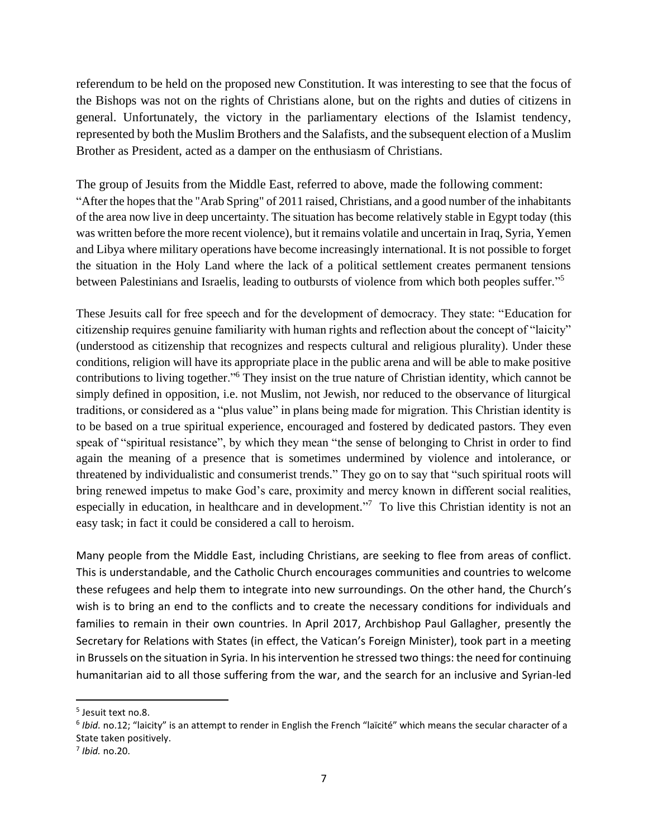referendum to be held on the proposed new Constitution. It was interesting to see that the focus of the Bishops was not on the rights of Christians alone, but on the rights and duties of citizens in general. Unfortunately, the victory in the parliamentary elections of the Islamist tendency, represented by both the Muslim Brothers and the Salafists, and the subsequent election of a Muslim Brother as President, acted as a damper on the enthusiasm of Christians.

The group of Jesuits from the Middle East, referred to above, made the following comment: "After the hopes that the "Arab Spring" of 2011 raised, Christians, and a good number of the inhabitants of the area now live in deep uncertainty. The situation has become relatively stable in Egypt today (this was written before the more recent violence), but it remains volatile and uncertain in Iraq, Syria, Yemen and Libya where military operations have become increasingly international. It is not possible to forget the situation in the Holy Land where the lack of a political settlement creates permanent tensions between Palestinians and Israelis, leading to outbursts of violence from which both peoples suffer."<sup>5</sup>

These Jesuits call for free speech and for the development of democracy. They state: "Education for citizenship requires genuine familiarity with human rights and reflection about the concept of "laicity" (understood as citizenship that recognizes and respects cultural and religious plurality). Under these conditions, religion will have its appropriate place in the public arena and will be able to make positive contributions to living together."<sup>6</sup> They insist on the true nature of Christian identity, which cannot be simply defined in opposition, i.e. not Muslim, not Jewish, nor reduced to the observance of liturgical traditions, or considered as a "plus value" in plans being made for migration. This Christian identity is to be based on a true spiritual experience, encouraged and fostered by dedicated pastors. They even speak of "spiritual resistance", by which they mean "the sense of belonging to Christ in order to find again the meaning of a presence that is sometimes undermined by violence and intolerance, or threatened by individualistic and consumerist trends." They go on to say that "such spiritual roots will bring renewed impetus to make God's care, proximity and mercy known in different social realities, especially in education, in healthcare and in development.<sup>"7</sup> To live this Christian identity is not an easy task; in fact it could be considered a call to heroism.

Many people from the Middle East, including Christians, are seeking to flee from areas of conflict. This is understandable, and the Catholic Church encourages communities and countries to welcome these refugees and help them to integrate into new surroundings. On the other hand, the Church's wish is to bring an end to the conflicts and to create the necessary conditions for individuals and families to remain in their own countries. In April 2017, Archbishop Paul Gallagher, presently the Secretary for Relations with States (in effect, the Vatican's Foreign Minister), took part in a meeting in Brussels on the situation in Syria. In his intervention he stressed two things: the need for continuing humanitarian aid to all those suffering from the war, and the search for an inclusive and Syrian-led

<sup>5</sup> Jesuit text no.8.

<sup>6</sup> *Ibid.* no.12; "laicity" is an attempt to render in English the French "laïcité" which means the secular character of a State taken positively.

<sup>7</sup> *Ibid.* no.20.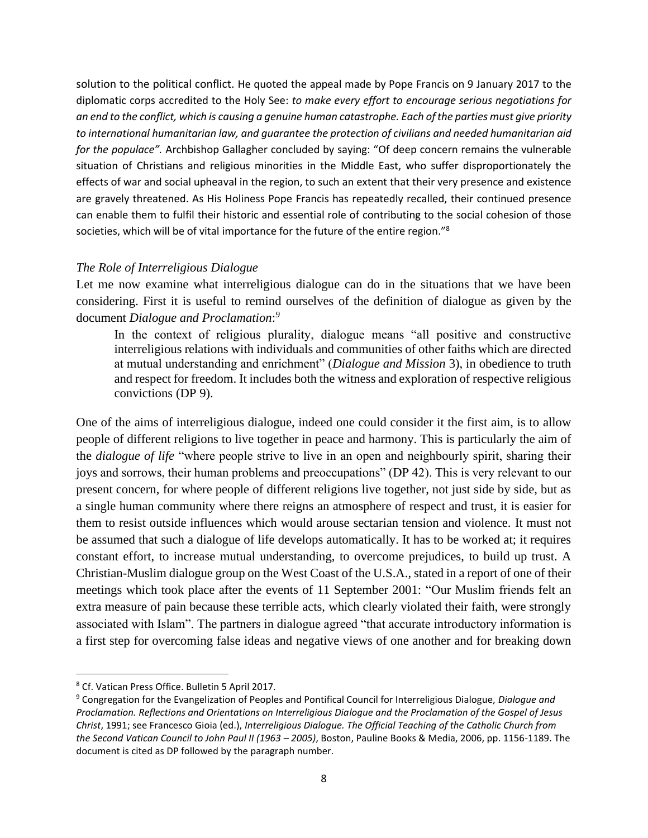solution to the political conflict. He quoted the appeal made by Pope Francis on 9 January 2017 to the diplomatic corps accredited to the Holy See: *to make every effort to encourage serious negotiations for an end to the conflict, which is causing a genuine human catastrophe. Each of the parties must give priority to international humanitarian law, and guarantee the protection of civilians and needed humanitarian aid for the populace".* Archbishop Gallagher concluded by saying: "Of deep concern remains the vulnerable situation of Christians and religious minorities in the Middle East, who suffer disproportionately the effects of war and social upheaval in the region, to such an extent that their very presence and existence are gravely threatened. As His Holiness Pope Francis has repeatedly recalled, their continued presence can enable them to fulfil their historic and essential role of contributing to the social cohesion of those societies, which will be of vital importance for the future of the entire region."<sup>8</sup>

## *The Role of Interreligious Dialogue*

Let me now examine what interreligious dialogue can do in the situations that we have been considering. First it is useful to remind ourselves of the definition of dialogue as given by the document *Dialogue and Proclamation*: *9*

In the context of religious plurality, dialogue means "all positive and constructive interreligious relations with individuals and communities of other faiths which are directed at mutual understanding and enrichment" (*Dialogue and Mission* 3), in obedience to truth and respect for freedom. It includes both the witness and exploration of respective religious convictions (DP 9).

One of the aims of interreligious dialogue, indeed one could consider it the first aim, is to allow people of different religions to live together in peace and harmony. This is particularly the aim of the *dialogue of life* "where people strive to live in an open and neighbourly spirit, sharing their joys and sorrows, their human problems and preoccupations" (DP 42). This is very relevant to our present concern, for where people of different religions live together, not just side by side, but as a single human community where there reigns an atmosphere of respect and trust, it is easier for them to resist outside influences which would arouse sectarian tension and violence. It must not be assumed that such a dialogue of life develops automatically. It has to be worked at; it requires constant effort, to increase mutual understanding, to overcome prejudices, to build up trust. A Christian-Muslim dialogue group on the West Coast of the U.S.A., stated in a report of one of their meetings which took place after the events of 11 September 2001: "Our Muslim friends felt an extra measure of pain because these terrible acts, which clearly violated their faith, were strongly associated with Islam". The partners in dialogue agreed "that accurate introductory information is a first step for overcoming false ideas and negative views of one another and for breaking down

<sup>8</sup> Cf. Vatican Press Office. Bulletin 5 April 2017.

<sup>9</sup> Congregation for the Evangelization of Peoples and Pontifical Council for Interreligious Dialogue, *Dialogue and Proclamation. Reflections and Orientations on Interreligious Dialogue and the Proclamation of the Gospel of Jesus Christ*, 1991; see Francesco Gioia (ed.), *Interreligious Dialogue. The Official Teaching of the Catholic Church from the Second Vatican Council to John Paul II (1963 – 2005)*, Boston, Pauline Books & Media, 2006, pp. 1156-1189. The document is cited as DP followed by the paragraph number.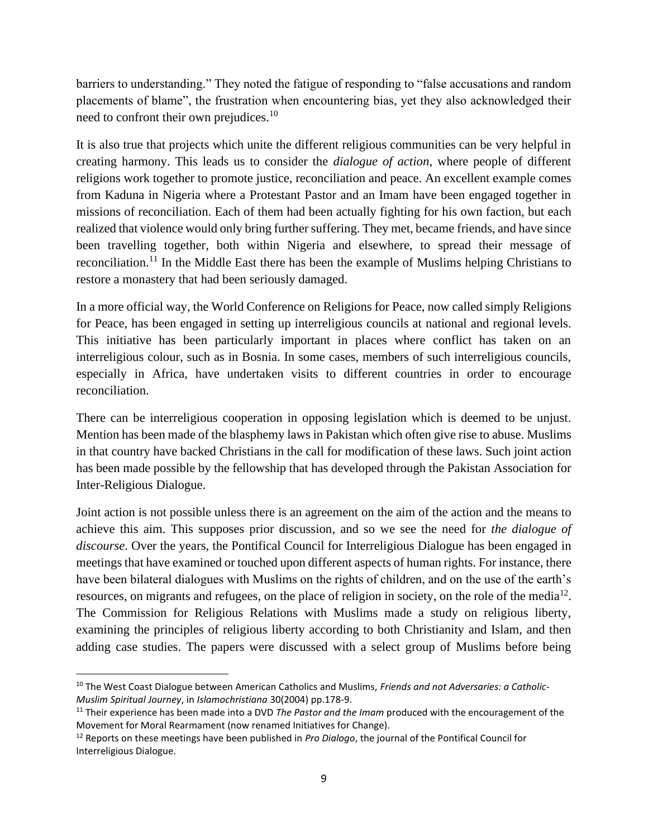barriers to understanding." They noted the fatigue of responding to "false accusations and random placements of blame", the frustration when encountering bias, yet they also acknowledged their need to confront their own prejudices.<sup>10</sup>

It is also true that projects which unite the different religious communities can be very helpful in creating harmony. This leads us to consider the *dialogue of action*, where people of different religions work together to promote justice, reconciliation and peace. An excellent example comes from Kaduna in Nigeria where a Protestant Pastor and an Imam have been engaged together in missions of reconciliation. Each of them had been actually fighting for his own faction, but each realized that violence would only bring further suffering. They met, became friends, and have since been travelling together, both within Nigeria and elsewhere, to spread their message of reconciliation.<sup>11</sup> In the Middle East there has been the example of Muslims helping Christians to restore a monastery that had been seriously damaged.

In a more official way, the World Conference on Religions for Peace, now called simply Religions for Peace, has been engaged in setting up interreligious councils at national and regional levels. This initiative has been particularly important in places where conflict has taken on an interreligious colour, such as in Bosnia. In some cases, members of such interreligious councils, especially in Africa, have undertaken visits to different countries in order to encourage reconciliation.

There can be interreligious cooperation in opposing legislation which is deemed to be unjust. Mention has been made of the blasphemy laws in Pakistan which often give rise to abuse. Muslims in that country have backed Christians in the call for modification of these laws. Such joint action has been made possible by the fellowship that has developed through the Pakistan Association for Inter-Religious Dialogue.

Joint action is not possible unless there is an agreement on the aim of the action and the means to achieve this aim. This supposes prior discussion, and so we see the need for *the dialogue of discourse*. Over the years, the Pontifical Council for Interreligious Dialogue has been engaged in meetings that have examined or touched upon different aspects of human rights. For instance, there have been bilateral dialogues with Muslims on the rights of children, and on the use of the earth's resources, on migrants and refugees, on the place of religion in society, on the role of the media $^{12}$ . The Commission for Religious Relations with Muslims made a study on religious liberty, examining the principles of religious liberty according to both Christianity and Islam, and then adding case studies. The papers were discussed with a select group of Muslims before being

<sup>10</sup> The West Coast Dialogue between American Catholics and Muslims, *Friends and not Adversaries: a Catholic-Muslim Spiritual Journey*, in *Islamochristiana* 30(2004) pp.178-9.

<sup>11</sup> Their experience has been made into a DVD *The Pastor and the Imam* produced with the encouragement of the Movement for Moral Rearmament (now renamed Initiatives for Change).

<sup>12</sup> Reports on these meetings have been published in *Pro Dialogo*, the journal of the Pontifical Council for Interreligious Dialogue.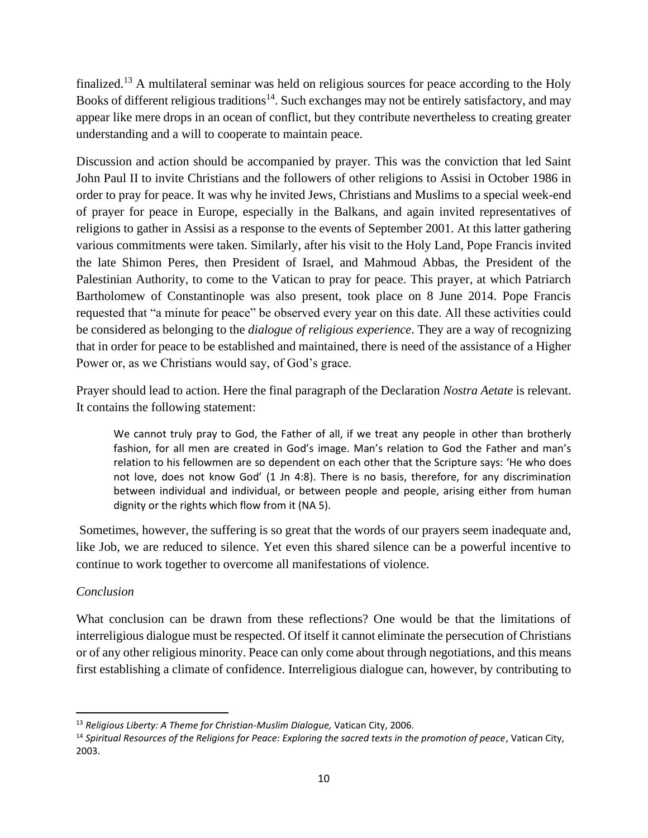finalized.<sup>13</sup> A multilateral seminar was held on religious sources for peace according to the Holy Books of different religious traditions<sup>14</sup>. Such exchanges may not be entirely satisfactory, and may appear like mere drops in an ocean of conflict, but they contribute nevertheless to creating greater understanding and a will to cooperate to maintain peace.

Discussion and action should be accompanied by prayer. This was the conviction that led Saint John Paul II to invite Christians and the followers of other religions to Assisi in October 1986 in order to pray for peace. It was why he invited Jews, Christians and Muslims to a special week-end of prayer for peace in Europe, especially in the Balkans, and again invited representatives of religions to gather in Assisi as a response to the events of September 2001. At this latter gathering various commitments were taken. Similarly, after his visit to the Holy Land, Pope Francis invited the late Shimon Peres, then President of Israel, and Mahmoud Abbas, the President of the Palestinian Authority, to come to the Vatican to pray for peace. This prayer, at which Patriarch Bartholomew of Constantinople was also present, took place on 8 June 2014. Pope Francis requested that "a minute for peace" be observed every year on this date. All these activities could be considered as belonging to the *dialogue of religious experience*. They are a way of recognizing that in order for peace to be established and maintained, there is need of the assistance of a Higher Power or, as we Christians would say, of God's grace.

Prayer should lead to action. Here the final paragraph of the Declaration *Nostra Aetate* is relevant. It contains the following statement:

We cannot truly pray to God, the Father of all, if we treat any people in other than brotherly fashion, for all men are created in God's image. Man's relation to God the Father and man's relation to his fellowmen are so dependent on each other that the Scripture says: 'He who does not love, does not know God' (1 Jn 4:8). There is no basis, therefore, for any discrimination between individual and individual, or between people and people, arising either from human dignity or the rights which flow from it (NA 5).

Sometimes, however, the suffering is so great that the words of our prayers seem inadequate and, like Job, we are reduced to silence. Yet even this shared silence can be a powerful incentive to continue to work together to overcome all manifestations of violence.

## *Conclusion*

What conclusion can be drawn from these reflections? One would be that the limitations of interreligious dialogue must be respected. Of itself it cannot eliminate the persecution of Christians or of any other religious minority. Peace can only come about through negotiations, and this means first establishing a climate of confidence. Interreligious dialogue can, however, by contributing to

<sup>13</sup> *Religious Liberty: A Theme for Christian-Muslim Dialogue,* Vatican City, 2006.

<sup>14</sup> *Spiritual Resources of the Religions for Peace: Exploring the sacred texts in the promotion of peace*, Vatican City, 2003.